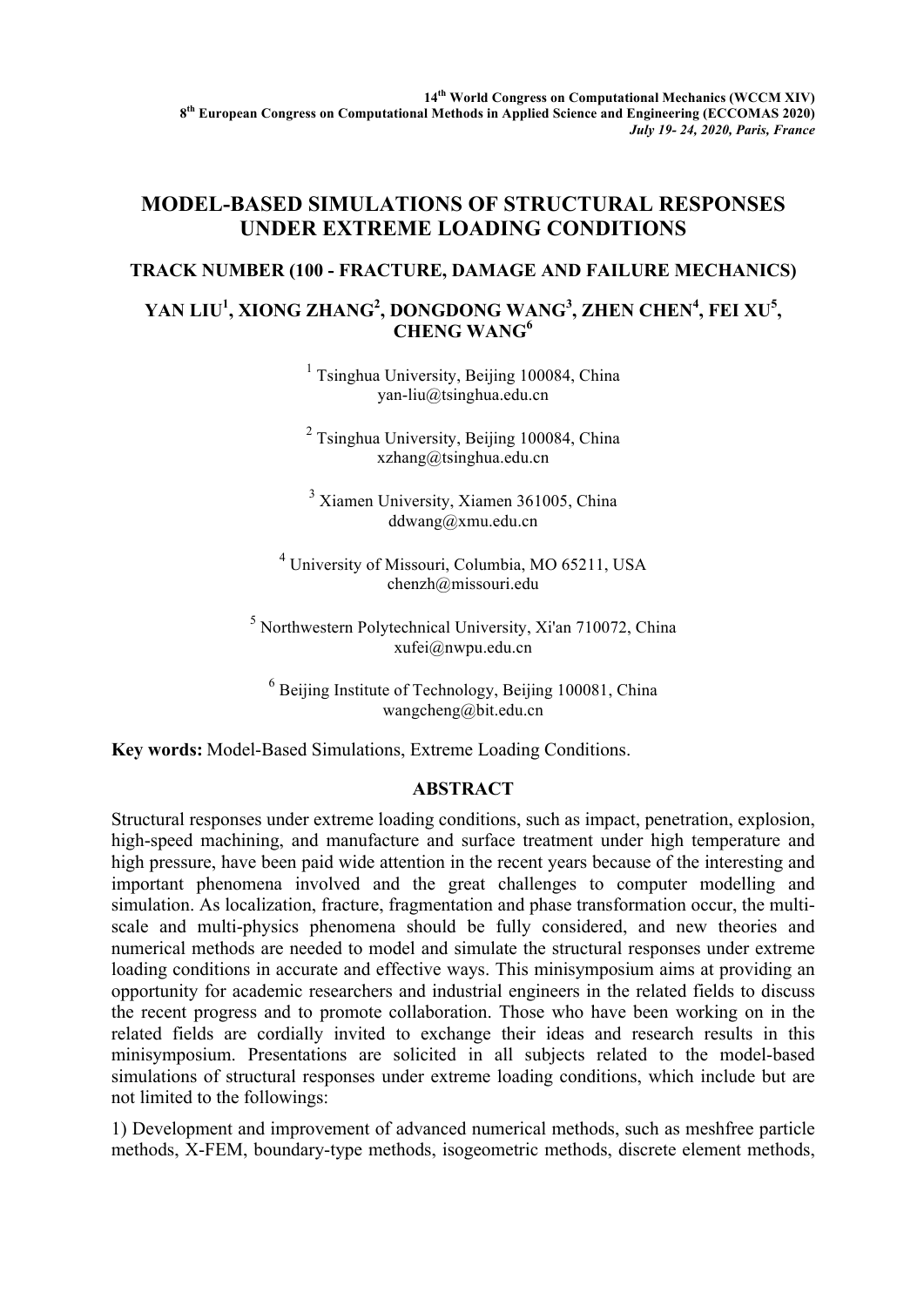## **MODEL-BASED SIMULATIONS OF STRUCTURAL RESPONSES UNDER EXTREME LOADING CONDITIONS**

## **TRACK NUMBER (100 - FRACTURE, DAMAGE AND FAILURE MECHANICS)**

## YAN LIU<sup>1</sup>, XIONG ZHANG<sup>2</sup>, DONGDONG WANG<sup>3</sup>, ZHEN CHEN<sup>4</sup>, FEI XU<sup>5</sup>, **CHENG WANG6**

 $<sup>1</sup>$  Tsinghua University, Beijing 100084, China</sup> yan-liu@tsinghua.edu.cn

 $2$  Tsinghua University, Beijing 100084, China xzhang@tsinghua.edu.cn

<sup>3</sup> Xiamen University, Xiamen 361005, China ddwang@xmu.edu.cn

<sup>4</sup> University of Missouri, Columbia, MO 65211, USA chenzh@missouri.edu

<sup>5</sup> Northwestern Polytechnical University, Xi'an 710072, China xufei@nwpu.edu.cn

 $6$  Beijing Institute of Technology, Beijing 100081, China wangcheng@bit.edu.cn

**Key words:** Model-Based Simulations, Extreme Loading Conditions.

## **ABSTRACT**

Structural responses under extreme loading conditions, such as impact, penetration, explosion, high-speed machining, and manufacture and surface treatment under high temperature and high pressure, have been paid wide attention in the recent years because of the interesting and important phenomena involved and the great challenges to computer modelling and simulation. As localization, fracture, fragmentation and phase transformation occur, the multiscale and multi-physics phenomena should be fully considered, and new theories and numerical methods are needed to model and simulate the structural responses under extreme loading conditions in accurate and effective ways. This minisymposium aims at providing an opportunity for academic researchers and industrial engineers in the related fields to discuss the recent progress and to promote collaboration. Those who have been working on in the related fields are cordially invited to exchange their ideas and research results in this minisymposium. Presentations are solicited in all subjects related to the model-based simulations of structural responses under extreme loading conditions, which include but are not limited to the followings:

1) Development and improvement of advanced numerical methods, such as meshfree particle methods, X-FEM, boundary-type methods, isogeometric methods, discrete element methods,